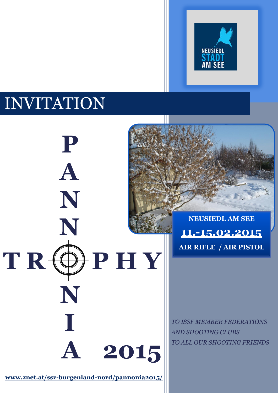

# INVITATION

**P****P**

**A**

**N**

**N**

 **N**

**I**

 $T R$  $\Theta$   $P H Y$ 

**NEUSIEDL AM SEE 11.-15.02.2015 AIR RIFLE / AIR PISTOL**

*TO ISSF MEMBER FEDERATIONS AND SHOOTING CLUBS TO ALL OUR SHOOTING FRIENDS*

**[www.znet.at/ssz-burgenland-nord/pannonia2](http://www.znet.at/ssz-burgenland-nord/pannonia)015/**

 **A****2015**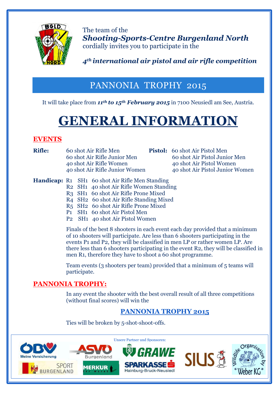

The team of the *Shooting-Sports-Centre Burgenland North*  cordially invites you to participate in the

# *4th international air pistol and air rifle competition*

# PANNONIA TROPHY 2015

It will take place from *11th to 15th February 2015* in 7100 Neusiedl am See, Austria.

# **GENERAL INFORMATION**

# **EVENTS**

**Rifle:** 60 shot Air Rifle Men **Pistol:** 60 shot Air Pistol Men 60 shot Air Rifle Junior Men 60 shot Air Pistol Junior Men 40 shot Air Rifle Women 40 shot Air Pistol Women

40 shot Air Rifle Junior Women 40 shot Air Pistol Junior Women

#### **Handicap:** R1 SH1 60 shot Air Rifle Men Standing

- R2 SH1 40 shot Air Rifle Women Standing
	- R3 SH1 60 shot Air Rifle Prone Mixed
	- R4 SH2 60 shot Air Rifle Standing Mixed
	- R5 SH2 60 shot Air Rifle Prone Mixed
	- P1 SH1 60 shot Air Pistol Men
	- P2 SH1 40 shot Air Pistol Women

Finals of the best 8 shooters in each event each day provided that a minimum of 10 shooters will participate. Are less than 6 shooters participating in the events P1 and P2, they will be classified in men LP or rather women LP. Are there less than 6 shooters participating in the event R2, they will be classified in men R1, therefore they have to shoot a 60 shot programme.

Team events (3 shooters per team) provided that a minimum of 5 teams will participate.

## **PANNONIA TROPHY:**

In any event the shooter with the best overall result of all three competitions (without final scores) will win the

# **PANNONIA TROPHY 2015**

Ties will be broken by 5-shot-shoot-offs.

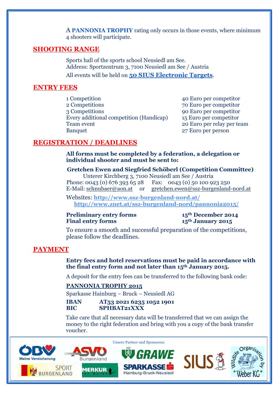A **PANNONIA TROPHY** rating only occurs in those events, where minimum 4 shooters will participate.

#### **SHOOTING RANGE**

Sports hall of the sports school Neusiedl am See. Address: Sportzentrum 3, 7100 Neusiedl am See / Austria All events will be held on **50 SIUS Electronic Targets**.

#### **ENTRY FEES**

1 Competition 40 Euro per competitor 2 Competitions 70 Euro per competitor 3 Competitions 90 Euro per competitor Every additional competition (Handicap) 15 Euro per competitor Team event 20 Euro per relay per team Banquet 27 Euro per person

#### **REGISTRATION / DEADLINES**

**All forms must be completed by a federation, a delegation or individual shooter and must be sent to:**

#### **Gretchen Ewen and Siegfried Schöberl (Competition Committee)**

Unterer Kirchberg 3, 7100 Neusiedl am See / Austria Phone: 0043 (0) 676 393 65 28 Fax: 0043 (0) 50 100 923 250

E-Mail: [schnubaer@aon.at](mailto:schnubaer@aon.at) or [gretchen.ewen@ssz-burgenland-nord.at](mailto:gretchen.ewen@ssz-burgenland-nord.at)

Websites: **<http://www.ssz-burgenland-nord.at/> <http://www.znet.at/ssz-burgenland-nord/pannonia2015/>**

#### **Preliminary entry forms 15<sup>th</sup> December 2014**<br>**15<sup>th</sup> January 2015 Final entry forms**

To ensure a smooth and successful preparation of the competitions, please follow the deadlines.

#### **PAYMENT**

#### **Entry fees and hotel reservations must be paid in accordance with the final entry form and not later than 15th January 2015.**

A deposit for the entry fees can be transferred to the following bank code:

#### **PANNONIA TROPHY 2015**

Sparkasse Hainburg – Bruck – Neusiedl AG

**IBAN AT53 2021 6235 1052 1901 BIC SPHBAT21XXX**

Take care that all necessary data will be transferred that we can assign the money to the right federation and bring with you a copy of the bank transfer voucher.

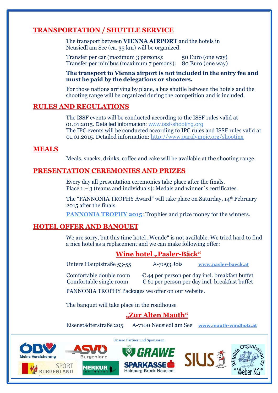## **TRANSPORTATION / SHUTTLE SERVICE**

The transport between **VIENNA AIRPORT** and the hotels in Neusiedl am See (ca. 35 km) will be organized.

Transfer per car (maximum 3 persons): 50 Euro (one way) Transfer per minibus (maximum 7 persons): 80 Euro (one way)

#### **The transport to Vienna airport is not included in the entry fee and must be paid by the delegations or shooters.**

For those nations arriving by plane, a bus shuttle between the hotels and the shooting range will be organized during the competition and is included.

#### **RULES AND REGULATIONS**

The ISSF events will be conducted according to the ISSF rules valid at 01.01.2015. Detailed information: [www.issf-shooting.org](http://www.issf-shooting.org/) The IPC events will be conducted according to IPC rules and ISSF rules valid at 01.01.2015. Detailed information:<http://www.paralympic.org/shooting>

#### **MEALS**

Meals, snacks, drinks, coffee and cake will be available at the shooting range.

#### **PRESENTATION CEREMONIES AND PRIZES**

Every day all presentation ceremonies take place after the finals. Place  $1 - 3$  (teams and individuals): Medals and winner's certificates.

The "PANNONIA TROPHY Award" will take place on Saturday, 14th February 2015 after the finals.

**PANNONIA TROPHY 2015:** Trophies and prize money for the winners.

#### **HOTEL OFFER AND BANQUET**

We are sorry, but this time hotel "Wende" is not available. We tried hard to find a nice hotel as a replacement and we can make following offer:

#### **Wine hotel "Pasler-Bäck"**

Untere Hauptstraße 53-55 A-7093 Jois **[www.pasler-baeck.at](http://www.pasler-baeck.at/)**

Comfortable double room  $\epsilon$  44 per person per day incl. breakfast buffet Comfortable single room  $\epsilon$  61 per person per day incl. breakfast buffet

PANNONIA TROPHY Packages we offer on our website.

The banquet will take place in the roadhouse

## **"Zur Alten Mauth"**

Eisenstädterstraße 205 A-7100 Neusiedl am See **[www.mauth-windholz.at](http://www.mauth-windholz.at/)**







Unsere Partner und Sponsoren: